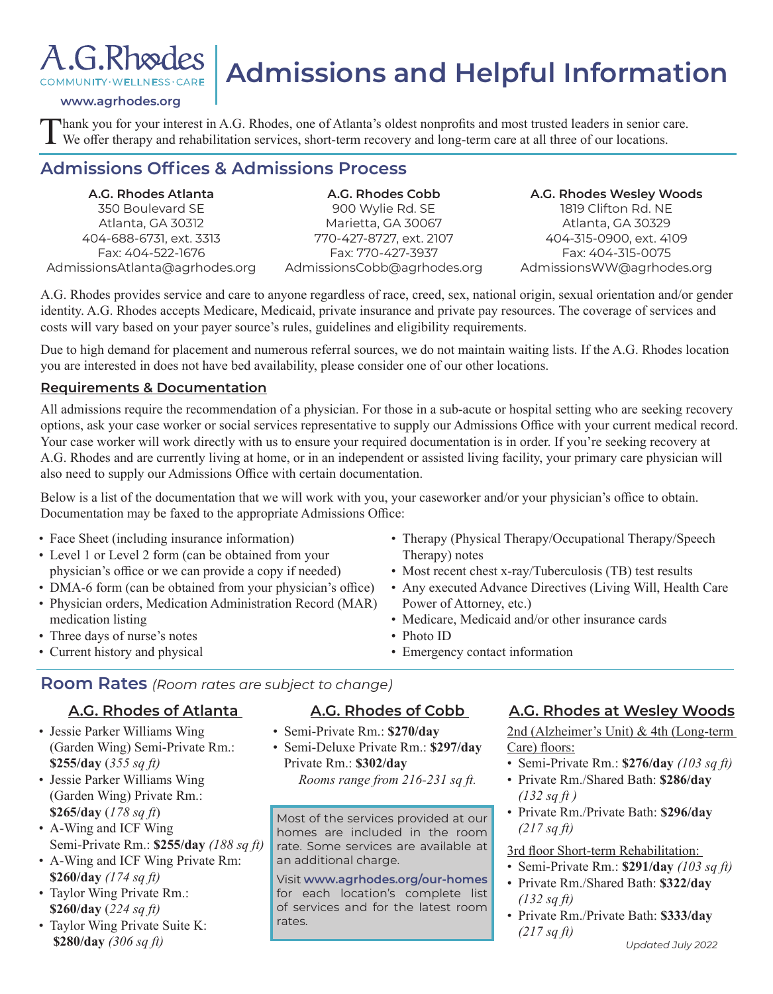## A.G.Rhoedes COMMUNITY·WELLNESS·CARE

# **Admissions and Helpful Information**

#### **www.agrhodes.org**

Thank you for your interest in A.G. Rhodes, one of Atlanta's oldest nonprofits and most trusted leaders in senior care.<br>We offer therapy and rehabilitation services, short-term recovery and long-term care at all three of o

### **Admissions Offices & Admissions Process**

**A.G. Rhodes Atlanta**  350 Boulevard SE Atlanta, GA 30312 404-688-6731, ext. 3313 Fax: 404-522-1676 AdmissionsAtlanta@agrhodes.org

**A.G. Rhodes Cobb**  900 Wylie Rd. SE Marietta, GA 30067 770-427-8727, ext. 2107 Fax: 770-427-3937 AdmissionsCobb@agrhodes.org

**A.G. Rhodes Wesley Woods** 1819 Clifton Rd. NE Atlanta, GA 30329 404-315-0900, ext. 4109 Fax: 404-315-0075 AdmissionsWW@agrhodes.org

A.G. Rhodes provides service and care to anyone regardless of race, creed, sex, national origin, sexual orientation and/or gender identity. A.G. Rhodes accepts Medicare, Medicaid, private insurance and private pay resources. The coverage of services and costs will vary based on your payer source's rules, guidelines and eligibility requirements.

Due to high demand for placement and numerous referral sources, we do not maintain waiting lists. If the A.G. Rhodes location you are interested in does not have bed availability, please consider one of our other locations.

#### **Requirements & Documentation**

All admissions require the recommendation of a physician. For those in a sub-acute or hospital setting who are seeking recovery options, ask your case worker or social services representative to supply our Admissions Office with your current medical record. Your case worker will work directly with us to ensure your required documentation is in order. If you're seeking recovery at A.G. Rhodes and are currently living at home, or in an independent or assisted living facility, your primary care physician will also need to supply our Admissions Office with certain documentation.

Below is a list of the documentation that we will work with you, your caseworker and/or your physician's office to obtain. Documentation may be faxed to the appropriate Admissions Office:

- Face Sheet (including insurance information)
- Level 1 or Level 2 form (can be obtained from your physician's office or we can provide a copy if needed)
- DMA-6 form (can be obtained from your physician's office)
- Physician orders, Medication Administration Record (MAR) medication listing
- Three days of nurse's notes
- Current history and physical
- Therapy (Physical Therapy/Occupational Therapy/Speech Therapy) notes
- Most recent chest x-ray/Tuberculosis (TB) test results
- Any executed Advance Directives (Living Will, Health Care Power of Attorney, etc.)
- Medicare, Medicaid and/or other insurance cards

• Photo ID

• Emergency contact information

**Room Rates** *(Room rates are subject to change)*

#### **A.G. Rhodes of Atlanta**

- Jessie Parker Williams Wing (Garden Wing) Semi-Private Rm.: **\$255/day** (*355 sq ft)*
- Jessie Parker Williams Wing (Garden Wing) Private Rm.: **\$265/day** (*178 sq ft*)
- A-Wing and ICF Wing Semi-Private Rm.: **\$255/day** *(188 sq ft)*
- A-Wing and ICF Wing Private Rm: **\$260/day** *(174 sq ft)*
- Taylor Wing Private Rm.: **\$260/day** (*224 sq ft)*
- Taylor Wing Private Suite K: **\$280/day** *(306 sq ft)*

#### **A.G. Rhodes of Cobb**

- Semi-Private Rm.: **\$270/day**
- Semi-Deluxe Private Rm.: **\$297/day**  Private Rm.: **\$302/day** *Rooms range from 216-231 sq ft.*

Most of the services provided at our homes are included in the room rate. Some services are available at an additional charge.

Visit **www.agrhodes.org/our-homes**  for each location's complete list of services and for the latest room rates.

#### **A.G. Rhodes at Wesley Woods**

2nd (Alzheimer's Unit) & 4th (Long-term Care) floors:

- Semi-Private Rm.: **\$276/day** *(103 sq ft)*
- Private Rm./Shared Bath: **\$286/day** *(132 sq ft )*
- Private Rm./Private Bath: **\$296/day** *(217 sq ft)*

3rd floor Short-term Rehabilitation:

- Semi-Private Rm.: **\$291/day** *(103 sq ft)*
- Private Rm./Shared Bath: **\$322/day** *(132 sq ft)*
- Private Rm./Private Bath: **\$333/day**  *(217 sq ft)*